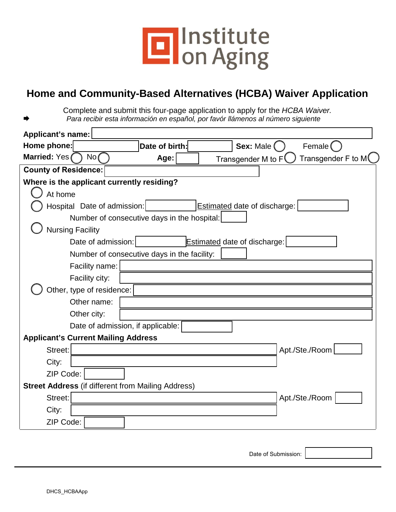

## **Home and Community-Based Alternatives (HCBA) Waiver Application**

Complete and submit this four-page application to apply for the *HCBA Waiver. Para recibir esta información en español, por favór llámenos al número siguiente*

| <b>Applicant's name:</b>                                  |                |                                     |             |                                          |
|-----------------------------------------------------------|----------------|-------------------------------------|-------------|------------------------------------------|
| Home phone:                                               | Date of birth: |                                     | Sex: Male ( | Female (                                 |
| Married: Yes<br>No(                                       | Age:           | Transgender M to F                  |             | Transgender F to M $\mathsf{\mathbb{(}}$ |
| <b>County of Residence:</b>                               |                |                                     |             |                                          |
| Where is the applicant currently residing?                |                |                                     |             |                                          |
| At home                                                   |                |                                     |             |                                          |
| Hospital Date of admission:                               |                | <b>Estimated date of discharge:</b> |             |                                          |
| Number of consecutive days in the hospital:               |                |                                     |             |                                          |
| <b>Nursing Facility</b>                                   |                |                                     |             |                                          |
| Date of admission:                                        |                | <b>Estimated date of discharge:</b> |             |                                          |
| Number of consecutive days in the facility:               |                |                                     |             |                                          |
| Facility name:                                            |                |                                     |             |                                          |
| Facility city:                                            |                |                                     |             |                                          |
| Other, type of residence:                                 |                |                                     |             |                                          |
| Other name:                                               |                |                                     |             |                                          |
| Other city:                                               |                |                                     |             |                                          |
| Date of admission, if applicable:                         |                |                                     |             |                                          |
| <b>Applicant's Current Mailing Address</b>                |                |                                     |             |                                          |
| Street:                                                   |                |                                     |             | Apt./Ste./Room                           |
| City:                                                     |                |                                     |             |                                          |
| ZIP Code:                                                 |                |                                     |             |                                          |
| <b>Street Address (if different from Mailing Address)</b> |                |                                     |             |                                          |
| Street:                                                   |                |                                     |             | Apt./Ste./Room                           |
| City:                                                     |                |                                     |             |                                          |
| ZIP Code:                                                 |                |                                     |             |                                          |

Date of Submission: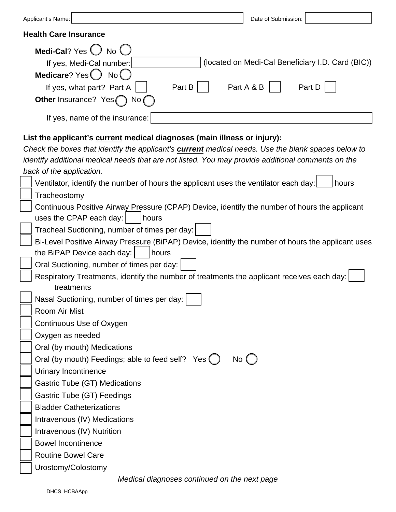| Date of Submission:<br>Applicant's Name:                                                                  |  |  |  |  |
|-----------------------------------------------------------------------------------------------------------|--|--|--|--|
| <b>Health Care Insurance</b>                                                                              |  |  |  |  |
| Medi-Cal? Yes $\bigcirc$ No $\bigcirc$                                                                    |  |  |  |  |
| (located on Medi-Cal Beneficiary I.D. Card (BIC))<br>If yes, Medi-Cal number:                             |  |  |  |  |
| Medicare? Yes () No (                                                                                     |  |  |  |  |
| Part B<br>Part A & B<br>Part D<br>If yes, what part? Part A                                               |  |  |  |  |
| Other Insurance? Yes<br>No $\ell$                                                                         |  |  |  |  |
|                                                                                                           |  |  |  |  |
| If yes, name of the insurance:                                                                            |  |  |  |  |
| List the applicant's current medical diagnoses (main illness or injury):                                  |  |  |  |  |
| Check the boxes that identify the applicant's <b>current</b> medical needs. Use the blank spaces below to |  |  |  |  |
| identify additional medical needs that are not listed. You may provide additional comments on the         |  |  |  |  |
| back of the application.                                                                                  |  |  |  |  |
| Ventilator, identify the number of hours the applicant uses the ventilator each day:<br>hours             |  |  |  |  |
| Tracheostomy                                                                                              |  |  |  |  |
| Continuous Positive Airway Pressure (CPAP) Device, identify the number of hours the applicant             |  |  |  |  |
| uses the CPAP each day:<br>hours                                                                          |  |  |  |  |

| ∐ Tracheal Suctioning, number of times per day: |  |
|-------------------------------------------------|--|
|                                                 |  |

|                                                  | Bi-Level Positive Airway Pressure (BiPAP) Device, identify the number of hours the applicant uses |  |
|--------------------------------------------------|---------------------------------------------------------------------------------------------------|--|
| the BiPAP Device each day: $\vert$ $\vert$ hours |                                                                                                   |  |

Oral Suctioning, number of times per day:

Respiratory Treatments, identify the number of treatments the applicant receives each day: treatments<br>Thissal Suctioning

|  | Nasal Suctioning, number of times per day: |
|--|--------------------------------------------|
|  | Room Air Mist                              |
|  | Continuous Use of Oxygen                   |

| Oxygen as needed |
|------------------|
|------------------|

Oral (by mouth) Medications

| $\Box$ Oral (by mouth) Feedings; able to feed self? Yes $\bigcirc$ No $\bigcirc$ |  |
|----------------------------------------------------------------------------------|--|
|                                                                                  |  |

Urinary Incontinence

Gastric Tube (GT) Medications

Gastric Tube (GT) Feedings

Bladder Catheterizations

Intravenous (IV) Medications

Intravenous (IV) Nutrition

Bowel Incontinence

Routine Bowel Care

Urostomy/Colostomy

 *Medical diagnoses continued on the next page*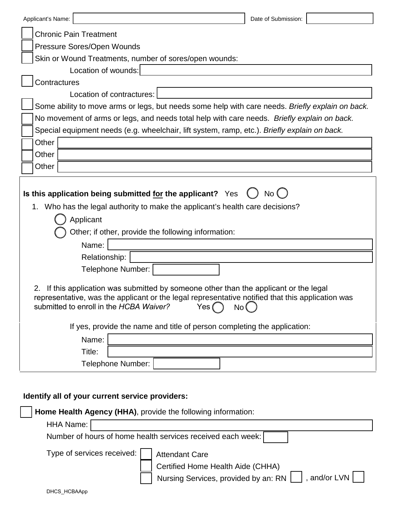| Applicant's Name: |                                                                                                                                                                                                                                                    | Date of Submission: |  |  |  |
|-------------------|----------------------------------------------------------------------------------------------------------------------------------------------------------------------------------------------------------------------------------------------------|---------------------|--|--|--|
|                   | <b>Chronic Pain Treatment</b>                                                                                                                                                                                                                      |                     |  |  |  |
|                   | Pressure Sores/Open Wounds                                                                                                                                                                                                                         |                     |  |  |  |
|                   | Skin or Wound Treatments, number of sores/open wounds:                                                                                                                                                                                             |                     |  |  |  |
|                   | Location of wounds:                                                                                                                                                                                                                                |                     |  |  |  |
| Contractures      |                                                                                                                                                                                                                                                    |                     |  |  |  |
|                   | Location of contractures:                                                                                                                                                                                                                          |                     |  |  |  |
|                   | Some ability to move arms or legs, but needs some help with care needs. Briefly explain on back.                                                                                                                                                   |                     |  |  |  |
|                   | No movement of arms or legs, and needs total help with care needs. Briefly explain on back.                                                                                                                                                        |                     |  |  |  |
|                   | Special equipment needs (e.g. wheelchair, lift system, ramp, etc.). Briefly explain on back.                                                                                                                                                       |                     |  |  |  |
| Other             |                                                                                                                                                                                                                                                    |                     |  |  |  |
| Other             |                                                                                                                                                                                                                                                    |                     |  |  |  |
| Other             |                                                                                                                                                                                                                                                    |                     |  |  |  |
|                   | Is this application being submitted for the applicant? Yes<br>1. Who has the legal authority to make the applicant's health care decisions?                                                                                                        | No()                |  |  |  |
|                   | Applicant<br>Other; if other, provide the following information:                                                                                                                                                                                   |                     |  |  |  |
|                   | Name:                                                                                                                                                                                                                                              |                     |  |  |  |
|                   | Relationship:                                                                                                                                                                                                                                      |                     |  |  |  |
|                   | Telephone Number:                                                                                                                                                                                                                                  |                     |  |  |  |
| 2.                | If this application was submitted by someone other than the applicant or the legal<br>representative, was the applicant or the legal representative notified that this application was<br>submitted to enroll in the HCBA Waiver?<br>Yes (<br>No ( |                     |  |  |  |
|                   | If yes, provide the name and title of person completing the application:                                                                                                                                                                           |                     |  |  |  |
|                   | Name:                                                                                                                                                                                                                                              |                     |  |  |  |
|                   | Title:                                                                                                                                                                                                                                             |                     |  |  |  |
|                   | Telephone Number:                                                                                                                                                                                                                                  |                     |  |  |  |

## **Identify all of your current service providers:**

| Home Health Agency (HHA), provide the following information: |                                                                                                                                      |  |  |  |  |
|--------------------------------------------------------------|--------------------------------------------------------------------------------------------------------------------------------------|--|--|--|--|
| HHA Name:                                                    |                                                                                                                                      |  |  |  |  |
| Number of hours of home health services received each week:  |                                                                                                                                      |  |  |  |  |
| Type of services received:                                   | <b>Attendant Care</b><br>Certified Home Health Aide (CHHA)<br>Nursing Services, provided by an: RN  <br>, and/or LVN $\vert$ $\vert$ |  |  |  |  |